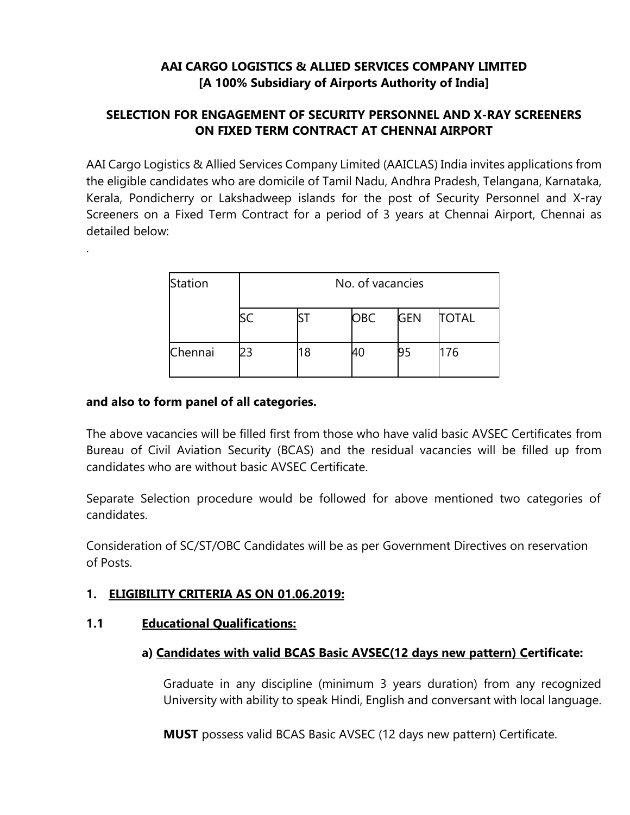# **AAI CARGO LOGISTICS & ALLIED SERVICES COMPANY LIMITED [A 100% Subsidiary of Airports Authority of India]**

# **SELECTION FOR ENGAGEMENT OF SECURITY PERSONNEL AND X-RAY SCREENERS ON FIXED TERM CONTRACT AT CHENNAI AIRPORT**

AAI Cargo Logistics & Allied Services Company Limited (AAICLAS) India invites applications from the eligible candidates who are domicile of Tamil Nadu, Andhra Pradesh, Telangana, Karnataka, Kerala, Pondicherry or Lakshadweep islands for the post of Security Personnel and X-ray Screeners on a Fixed Term Contract for a period of 3 years at Chennai Airport, Chennai as detailed below:

| Station | No. of vacancies |    |            |            |              |
|---------|------------------|----|------------|------------|--------------|
|         |                  |    | <b>OBC</b> | <b>GEN</b> | <b>TOTAL</b> |
| Chennai | 23               | 18 | И0         | 195        | 176          |

#### **and also to form panel of all categories.**

.

The above vacancies will be filled first from those who have valid basic AVSEC Certificates from Bureau of Civil Aviation Security (BCAS) and the residual vacancies will be filled up from candidates who are without basic AVSEC Certificate.

Separate Selection procedure would be followed for above mentioned two categories of candidates.

Consideration of SC/ST/OBC Candidates will be as per Government Directives on reservation of Posts.

### **1. ELIGIBILITY CRITERIA AS ON 01.06.2019:**

### **1.1 Educational Qualifications:**

### **a) Candidates with valid BCAS Basic AVSEC(12 days new pattern) Certificate:**

Graduate in any discipline (minimum 3 years duration) from any recognized University with ability to speak Hindi, English and conversant with local language.

**MUST** possess valid BCAS Basic AVSEC (12 days new pattern) Certificate.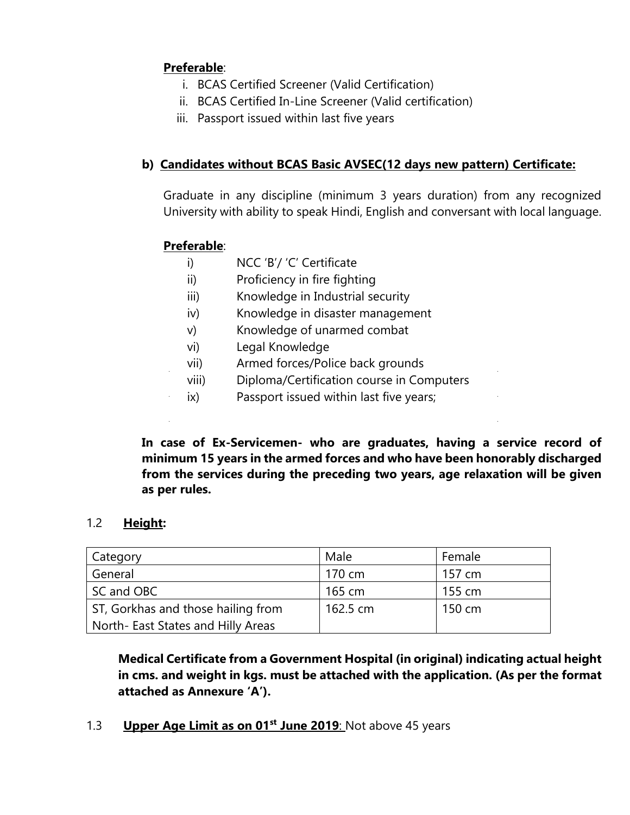# **Preferable**:

- i. BCAS Certified Screener (Valid Certification)
- ii. BCAS Certified In-Line Screener (Valid certification)
- iii. Passport issued within last five years

# **b) Candidates without BCAS Basic AVSEC(12 days new pattern) Certificate:**

Graduate in any discipline (minimum 3 years duration) from any recognized University with ability to speak Hindi, English and conversant with local language.

# **Preferable**:

- i) NCC 'B'/ 'C' Certificate
- ii) Proficiency in fire fighting
- iii) Knowledge in Industrial security
- iv) Knowledge in disaster management
- v) Knowledge of unarmed combat
- vi) Legal Knowledge
- vii) Armed forces/Police back grounds
- viii) Diploma/Certification course in Computers
- ix) Passport issued within last five years;

**In case of Ex-Servicemen- who are graduates, having a service record of minimum 15 years in the armed forces and who have been honorably discharged from the services during the preceding two years, age relaxation will be given as per rules.**

### 1.2 **Height:**

| Category                           | Male     | Female |
|------------------------------------|----------|--------|
| General                            | 170 cm   | 157 cm |
| SC and OBC                         | 165 cm   | 155 cm |
| ST, Gorkhas and those hailing from | 162.5 cm | 150 cm |
| North- East States and Hilly Areas |          |        |

**Medical Certificate from a Government Hospital (in original) indicating actual height in cms. and weight in kgs. must be attached with the application. (As per the format attached as Annexure 'A').**

1.3 **Upper Age Limit as on 01st June 2019**: Not above 45 years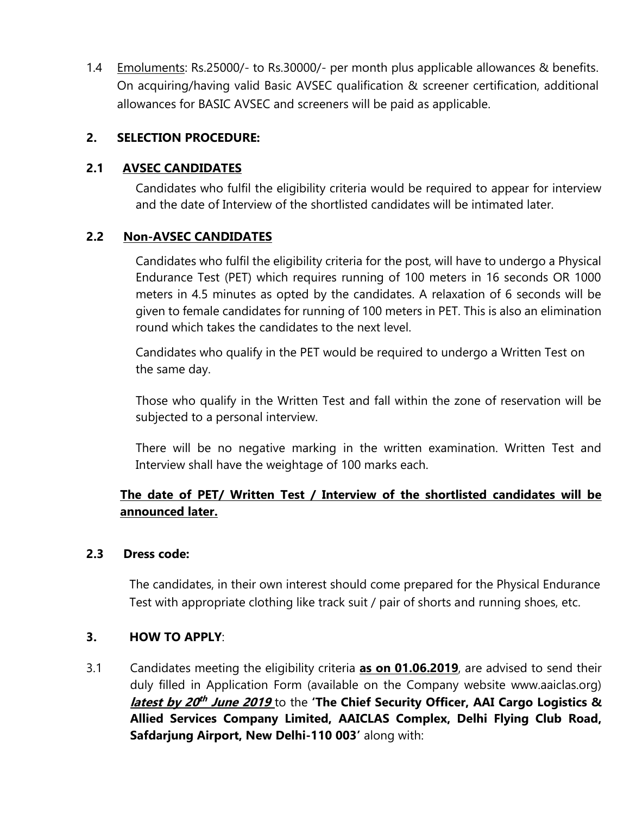1.4 Emoluments: Rs.25000/- to Rs.30000/- per month plus applicable allowances & benefits. On acquiring/having valid Basic AVSEC qualification & screener certification, additional allowances for BASIC AVSEC and screeners will be paid as applicable.

# **2. SELECTION PROCEDURE:**

# **2.1 AVSEC CANDIDATES**

Candidates who fulfil the eligibility criteria would be required to appear for interview and the date of Interview of the shortlisted candidates will be intimated later.

# **2.2 Non-AVSEC CANDIDATES**

Candidates who fulfil the eligibility criteria for the post, will have to undergo a Physical Endurance Test (PET) which requires running of 100 meters in 16 seconds OR 1000 meters in 4.5 minutes as opted by the candidates. A relaxation of 6 seconds will be given to female candidates for running of 100 meters in PET. This is also an elimination round which takes the candidates to the next level.

Candidates who qualify in the PET would be required to undergo a Written Test on the same day.

Those who qualify in the Written Test and fall within the zone of reservation will be subjected to a personal interview.

There will be no negative marking in the written examination. Written Test and Interview shall have the weightage of 100 marks each.

# **The date of PET/ Written Test / Interview of the shortlisted candidates will be announced later.**

### **2.3 Dress code:**

The candidates, in their own interest should come prepared for the Physical Endurance Test with appropriate clothing like track suit / pair of shorts and running shoes, etc.

### **3. HOW TO APPLY**:

3.1 Candidates meeting the eligibility criteria **as on 01.06.2019**, are advised to send their duly filled in Application Form (available on the Company website www.aaiclas.org) **latest by 20 th June 2019** to the **'The Chief Security Officer, AAI Cargo Logistics & Allied Services Company Limited, AAICLAS Complex, Delhi Flying Club Road, Safdarjung Airport, New Delhi-110 003'** along with: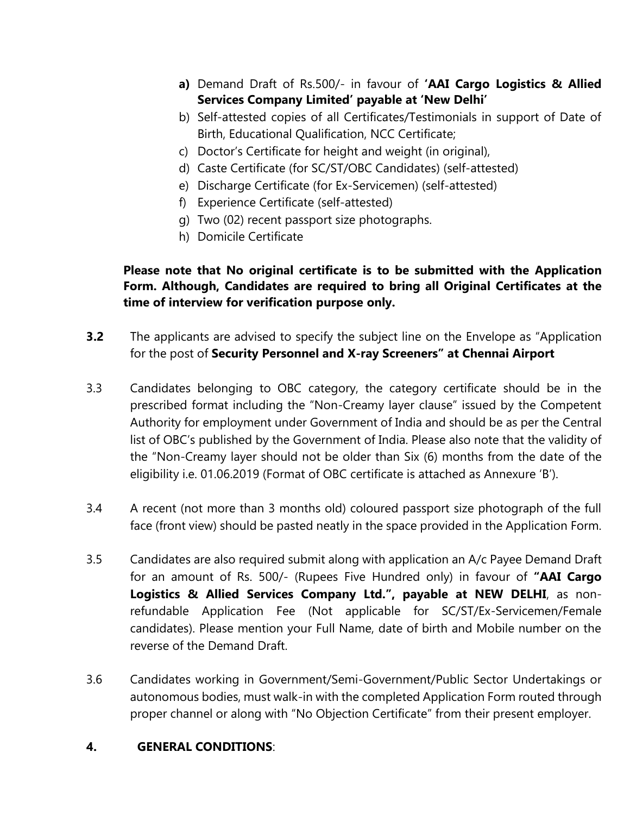- **a)** Demand Draft of Rs.500/- in favour of **'AAI Cargo Logistics & Allied Services Company Limited' payable at 'New Delhi'**
- b) Self-attested copies of all Certificates/Testimonials in support of Date of Birth, Educational Qualification, NCC Certificate;
- c) Doctor's Certificate for height and weight (in original),
- d) Caste Certificate (for SC/ST/OBC Candidates) (self-attested)
- e) Discharge Certificate (for Ex-Servicemen) (self-attested)
- f) Experience Certificate (self-attested)
- g) Two (02) recent passport size photographs.
- h) Domicile Certificate

**Please note that No original certificate is to be submitted with the Application Form. Although, Candidates are required to bring all Original Certificates at the time of interview for verification purpose only.**

- **3.2** The applicants are advised to specify the subject line on the Envelope as "Application for the post of **Security Personnel and X-ray Screeners" at Chennai Airport**
- 3.3 Candidates belonging to OBC category, the category certificate should be in the prescribed format including the "Non-Creamy layer clause" issued by the Competent Authority for employment under Government of India and should be as per the Central list of OBC's published by the Government of India. Please also note that the validity of the "Non-Creamy layer should not be older than Six (6) months from the date of the eligibility i.e. 01.06.2019 (Format of OBC certificate is attached as Annexure 'B').
- 3.4 A recent (not more than 3 months old) coloured passport size photograph of the full face (front view) should be pasted neatly in the space provided in the Application Form.
- 3.5 Candidates are also required submit along with application an A/c Payee Demand Draft for an amount of Rs. 500/- (Rupees Five Hundred only) in favour of **"AAI Cargo Logistics & Allied Services Company Ltd.", payable at NEW DELHI**, as nonrefundable Application Fee (Not applicable for SC/ST/Ex-Servicemen/Female candidates). Please mention your Full Name, date of birth and Mobile number on the reverse of the Demand Draft.
- 3.6 Candidates working in Government/Semi-Government/Public Sector Undertakings or autonomous bodies, must walk-in with the completed Application Form routed through proper channel or along with "No Objection Certificate" from their present employer.

### **4. GENERAL CONDITIONS**: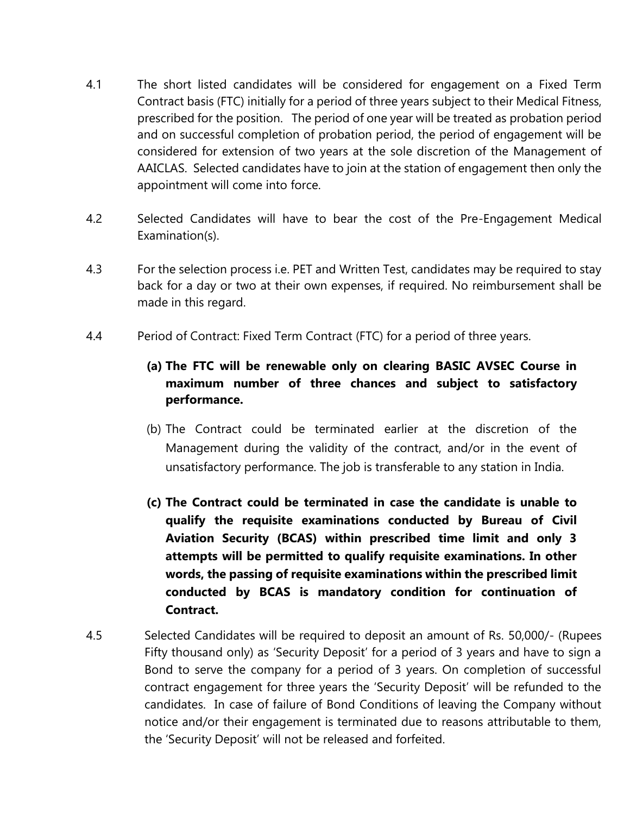- 4.1 The short listed candidates will be considered for engagement on a Fixed Term Contract basis (FTC) initially for a period of three years subject to their Medical Fitness, prescribed for the position. The period of one year will be treated as probation period and on successful completion of probation period, the period of engagement will be considered for extension of two years at the sole discretion of the Management of AAICLAS. Selected candidates have to join at the station of engagement then only the appointment will come into force.
- 4.2 Selected Candidates will have to bear the cost of the Pre-Engagement Medical Examination(s).
- 4.3 For the selection process i.e. PET and Written Test, candidates may be required to stay back for a day or two at their own expenses, if required. No reimbursement shall be made in this regard.
- 4.4 Period of Contract: Fixed Term Contract (FTC) for a period of three years.

# **(a) The FTC will be renewable only on clearing BASIC AVSEC Course in maximum number of three chances and subject to satisfactory performance.**

- (b) The Contract could be terminated earlier at the discretion of the Management during the validity of the contract, and/or in the event of unsatisfactory performance. The job is transferable to any station in India.
- **(c) The Contract could be terminated in case the candidate is unable to qualify the requisite examinations conducted by Bureau of Civil Aviation Security (BCAS) within prescribed time limit and only 3 attempts will be permitted to qualify requisite examinations. In other words, the passing of requisite examinations within the prescribed limit conducted by BCAS is mandatory condition for continuation of Contract.**
- 4.5 Selected Candidates will be required to deposit an amount of Rs. 50,000/- (Rupees Fifty thousand only) as 'Security Deposit' for a period of 3 years and have to sign a Bond to serve the company for a period of 3 years. On completion of successful contract engagement for three years the 'Security Deposit' will be refunded to the candidates. In case of failure of Bond Conditions of leaving the Company without notice and/or their engagement is terminated due to reasons attributable to them, the 'Security Deposit' will not be released and forfeited.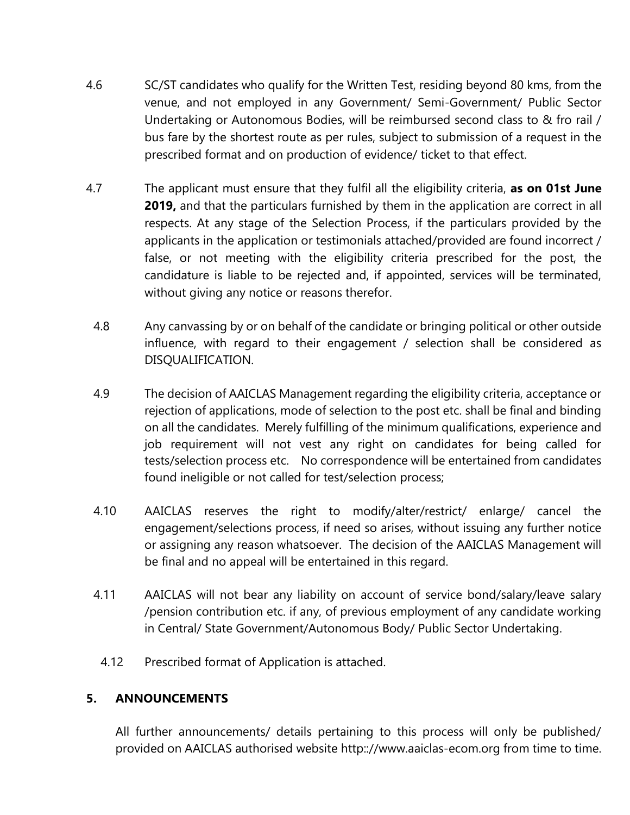- 4.6 SC/ST candidates who qualify for the Written Test, residing beyond 80 kms, from the venue, and not employed in any Government/ Semi-Government/ Public Sector Undertaking or Autonomous Bodies, will be reimbursed second class to & fro rail / bus fare by the shortest route as per rules, subject to submission of a request in the prescribed format and on production of evidence/ ticket to that effect.
- 4.7 The applicant must ensure that they fulfil all the eligibility criteria, **as on 01st June 2019,** and that the particulars furnished by them in the application are correct in all respects. At any stage of the Selection Process, if the particulars provided by the applicants in the application or testimonials attached/provided are found incorrect / false, or not meeting with the eligibility criteria prescribed for the post, the candidature is liable to be rejected and, if appointed, services will be terminated, without giving any notice or reasons therefor.
	- 4.8 Any canvassing by or on behalf of the candidate or bringing political or other outside influence, with regard to their engagement / selection shall be considered as DISQUALIFICATION.
	- 4.9 The decision of AAICLAS Management regarding the eligibility criteria, acceptance or rejection of applications, mode of selection to the post etc. shall be final and binding on all the candidates. Merely fulfilling of the minimum qualifications, experience and job requirement will not vest any right on candidates for being called for tests/selection process etc. No correspondence will be entertained from candidates found ineligible or not called for test/selection process;
	- 4.10 AAICLAS reserves the right to modify/alter/restrict/ enlarge/ cancel the engagement/selections process, if need so arises, without issuing any further notice or assigning any reason whatsoever. The decision of the AAICLAS Management will be final and no appeal will be entertained in this regard.
	- 4.11 AAICLAS will not bear any liability on account of service bond/salary/leave salary /pension contribution etc. if any, of previous employment of any candidate working in Central/ State Government/Autonomous Body/ Public Sector Undertaking.
		- 4.12 Prescribed format of Application is attached.

### **5. ANNOUNCEMENTS**

All further announcements/ details pertaining to this process will only be published/ provided on AAICLAS authorised website http:://www.aaiclas-ecom.org from time to time.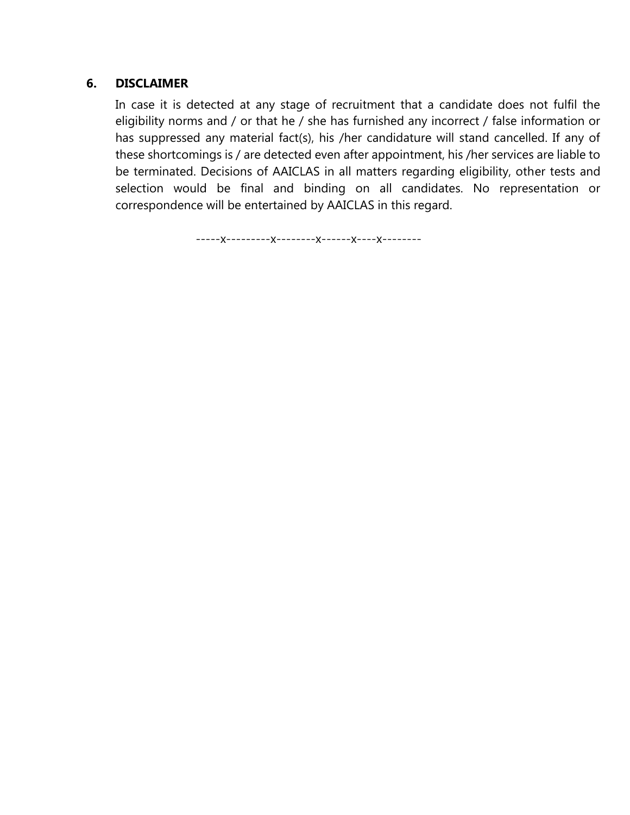#### **6. DISCLAIMER**

In case it is detected at any stage of recruitment that a candidate does not fulfil the eligibility norms and / or that he / she has furnished any incorrect / false information or has suppressed any material fact(s), his /her candidature will stand cancelled. If any of these shortcomings is / are detected even after appointment, his /her services are liable to be terminated. Decisions of AAICLAS in all matters regarding eligibility, other tests and selection would be final and binding on all candidates. No representation or correspondence will be entertained by AAICLAS in this regard.

-----x---------x--------x------x----x--------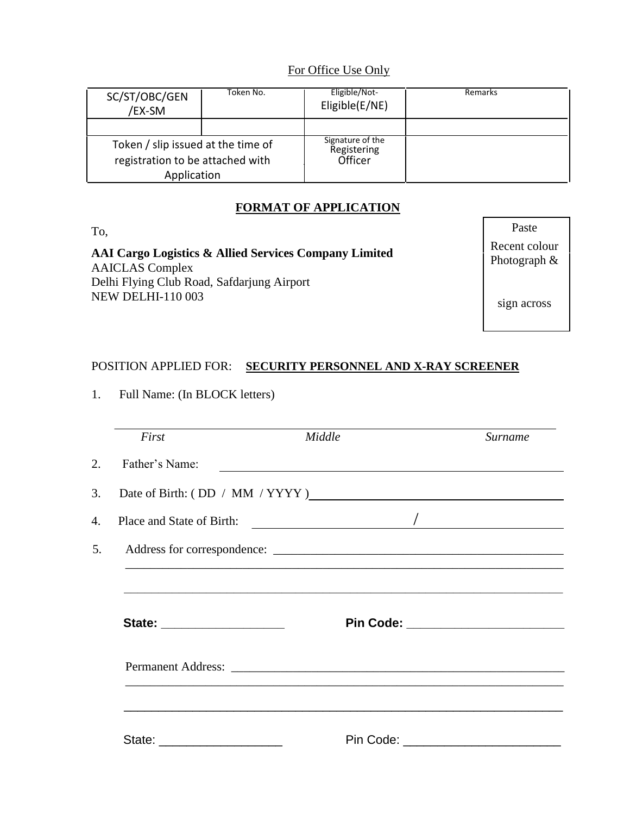# For Office Use Only

| SC/ST/OBC/GEN<br>/EX-SM                                                               | Token No. | Eligible/Not-<br>Eligible(E/NE)            | Remarks |
|---------------------------------------------------------------------------------------|-----------|--------------------------------------------|---------|
|                                                                                       |           |                                            |         |
| Token / slip issued at the time of<br>registration to be attached with<br>Application |           | Signature of the<br>Registering<br>Officer |         |

# **FORMAT OF APPLICATION**

| AAI Cargo Logistics & Allied Services Company Limited<br><b>AAICLAS</b> Complex | Recent colour<br>Photograph & |
|---------------------------------------------------------------------------------|-------------------------------|
| Delhi Flying Club Road, Safdarjung Airport<br><b>NEW DELHI-110 003</b>          | sign across                   |
|                                                                                 |                               |

To, Paste

# POSITION APPLIED FOR: **SECURITY PERSONNEL AND X-RAY SCREENER**

1. Full Name: (In BLOCK letters)

| First                       | Middle                                                                                                               | Surname |
|-----------------------------|----------------------------------------------------------------------------------------------------------------------|---------|
| Father's Name:              | <u> 1989 - Johann Stein, marwolaethau a bhann an t-Amhain an t-Amhain an t-Amhain an t-Amhain an t-Amhain an t-A</u> |         |
|                             | Date of Birth: (DD / MM / YYYYY)                                                                                     |         |
| Place and State of Birth:   | $\overline{\phantom{a}}$                                                                                             |         |
|                             |                                                                                                                      |         |
|                             |                                                                                                                      |         |
| State: ____________________ |                                                                                                                      |         |
|                             |                                                                                                                      |         |
|                             |                                                                                                                      |         |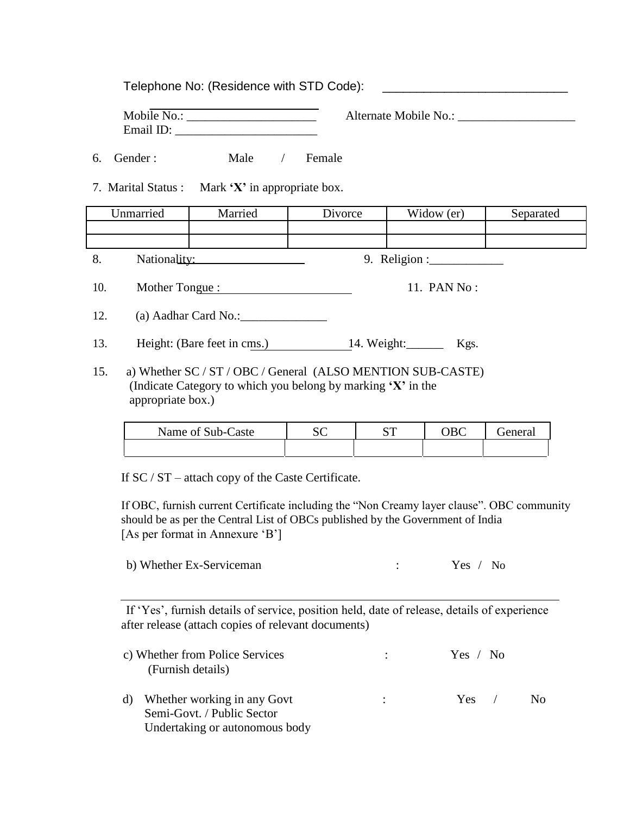Telephone No: (Residence with STD Code):

| Mobile No.: |  |
|-------------|--|
| Email ID:   |  |

Alternate Mobile No.:

6. Gender : Male / Female

7. Marital Status : Mark **'X'** in appropriate box.

|     | Unmarried      | Married                     | Divorce | Widow (er)                         | Separated |
|-----|----------------|-----------------------------|---------|------------------------------------|-----------|
|     |                |                             |         |                                    |           |
| 8.  | Nationality:   |                             |         | 9. Religion : $\frac{1}{\sqrt{2}}$ |           |
| 10. | Mother Tongue: |                             |         | 11. PAN No:                        |           |
| 12. |                | (a) Aadhar Card No.:        |         |                                    |           |
| 13. |                | Height: (Bare feet in cms.) |         | 14. Weight:<br>Kgs.                |           |

15. a) Whether SC / ST / OBC / General (ALSO MENTION SUB-CASTE) (Indicate Category to which you belong by marking **'X'** in the appropriate box.)

| Name of Sub-Caste | Πr | απ | renera |
|-------------------|----|----|--------|
|                   |    |    |        |

If SC / ST – attach copy of the Caste Certificate.

If OBC, furnish current Certificate including the "Non Creamy layer clause". OBC community should be as per the Central List of OBCs published by the Government of India [As per format in Annexure 'B']

| b) Whether Ex-Serviceman |  | Yes / No |  |
|--------------------------|--|----------|--|
|--------------------------|--|----------|--|

If 'Yes', furnish details of service, position held, date of release, details of experience after release (attach copies of relevant documents)

| c) Whether from Police Services<br>(Furnish details)         | $\mathcal{L}$ and $\mathcal{L}$ | Yes $/$ No |     |
|--------------------------------------------------------------|---------------------------------|------------|-----|
| d) Whether working in any Govt<br>Semi-Govt. / Public Sector |                                 | $Yes$ /    | No. |
| Undertaking or autonomous body                               |                                 |            |     |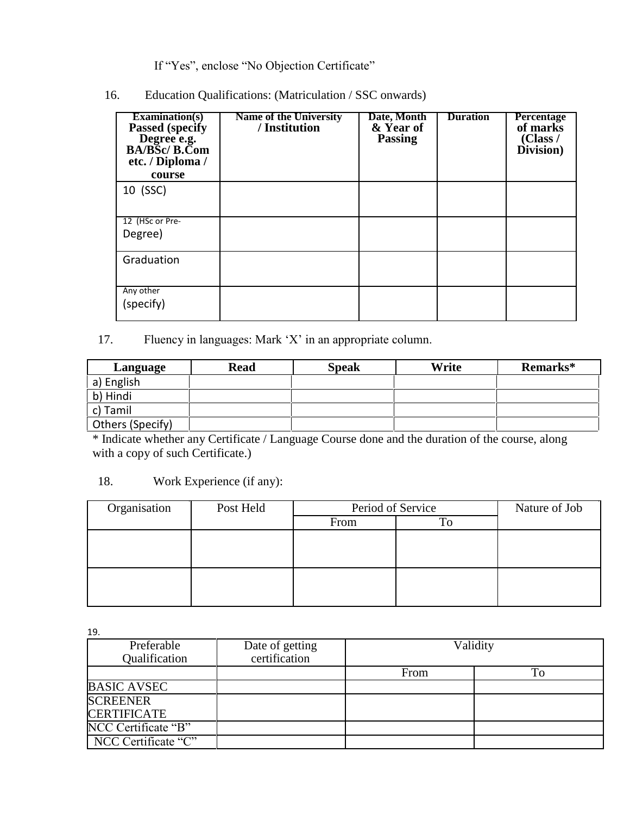If "Yes", enclose "No Objection Certificate"

16. Education Qualifications: (Matriculation / SSC onwards)

| Examination(s)<br><b>Passed (specify)</b><br>Degree e.g.<br>BA/BSc/ B.Com<br>etc. / Diploma /<br>course | <b>Name of the University</b><br>/ Institution | Date, Month<br>& Year of<br><b>Passing</b> | <b>Duration</b> | <b>Percentage</b><br>of marks<br>(Class /<br>Division) |
|---------------------------------------------------------------------------------------------------------|------------------------------------------------|--------------------------------------------|-----------------|--------------------------------------------------------|
| 10 (SSC)                                                                                                |                                                |                                            |                 |                                                        |
| 12 (HSc or Pre-<br>Degree)                                                                              |                                                |                                            |                 |                                                        |
| Graduation                                                                                              |                                                |                                            |                 |                                                        |
| Any other<br>(specify)                                                                                  |                                                |                                            |                 |                                                        |

# 17. Fluency in languages: Mark 'X' in an appropriate column.

| Language         | <b>Read</b> | <b>Speak</b> | Write | Remarks* |
|------------------|-------------|--------------|-------|----------|
| a) English       |             |              |       |          |
| b) Hindi         |             |              |       |          |
| c) Tamil         |             |              |       |          |
| Others (Specify) |             |              |       |          |

\* Indicate whether any Certificate / Language Course done and the duration of the course, along with a copy of such Certificate.)

#### 18. Work Experience (if any):

| Organisation | Post Held | Period of Service |    | Nature of Job |
|--------------|-----------|-------------------|----|---------------|
|              |           | From              | To |               |
|              |           |                   |    |               |
|              |           |                   |    |               |
|              |           |                   |    |               |
|              |           |                   |    |               |
|              |           |                   |    |               |
|              |           |                   |    |               |

19.

| Preferable<br>Qualification           | Date of getting<br>certification | Validity |    |
|---------------------------------------|----------------------------------|----------|----|
|                                       |                                  | From     | Гo |
| <b>BASIC AVSEC</b>                    |                                  |          |    |
| <b>SCREENER</b><br><b>CERTIFICATE</b> |                                  |          |    |
| NCC Certificate "B"                   |                                  |          |    |
| NCC Certificate "C"                   |                                  |          |    |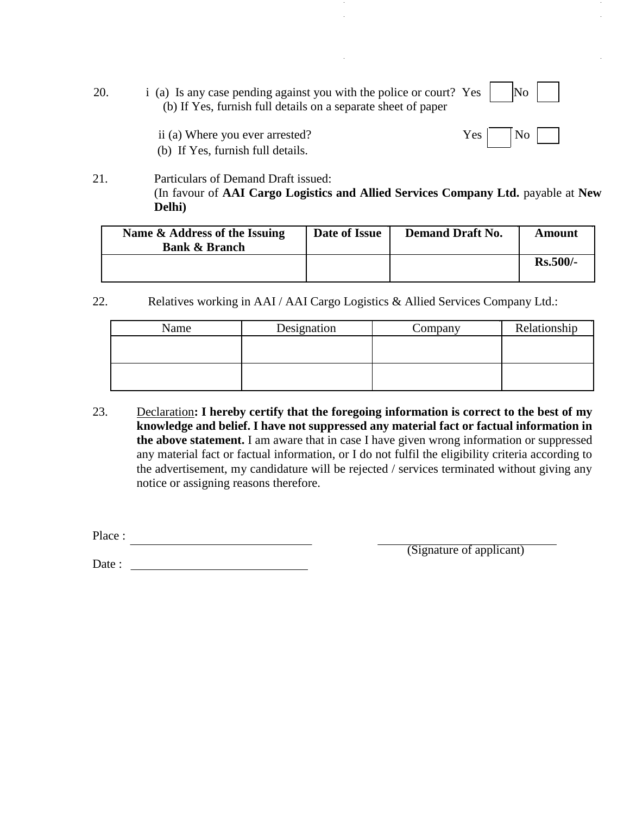20. i (a) Is any case pending against you with the police or court? Yes  $\vert$  No (b) If Yes, furnish full details on a separate sheet of paper



ii (a) Where you ever arrested?  $Yes \mid No$ (b) If Yes, furnish full details.

#### 21. Particulars of Demand Draft issued: (In favour of **AAI Cargo Logistics and Allied Services Company Ltd.** payable at **New Delhi)**

| Name & Address of the Issuing<br><b>Bank &amp; Branch</b> | Date of Issue | <b>Demand Draft No.</b> | Amount     |
|-----------------------------------------------------------|---------------|-------------------------|------------|
|                                                           |               |                         | $Rs.500/-$ |

22. Relatives working in AAI / AAI Cargo Logistics & Allied Services Company Ltd.:

| Name | Designation | Company | Relationship |
|------|-------------|---------|--------------|
|      |             |         |              |
|      |             |         |              |
|      |             |         |              |
|      |             |         |              |

23. Declaration**: I hereby certify that the foregoing information is correct to the best of my knowledge and belief. I have not suppressed any material fact or factual information in the above statement.** I am aware that in case I have given wrong information or suppressed any material fact or factual information, or I do not fulfil the eligibility criteria according to the advertisement, my candidature will be rejected / services terminated without giving any notice or assigning reasons therefore.

Place :

Date :

(Signature of applicant)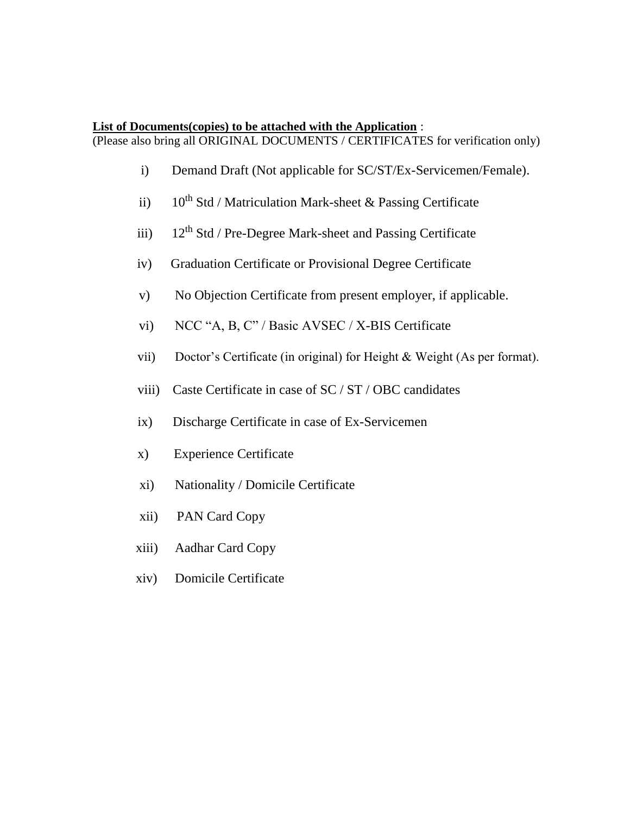#### **List of Documents(copies) to be attached with the Application** :

(Please also bring all ORIGINAL DOCUMENTS / CERTIFICATES for verification only)

- i) Demand Draft (Not applicable for SC/ST/Ex-Servicemen/Female).
- ii)  $10^{th}$  Std / Matriculation Mark-sheet & Passing Certificate
- iii)  $12^{th}$  Std / Pre-Degree Mark-sheet and Passing Certificate
- iv) Graduation Certificate or Provisional Degree Certificate
- v) No Objection Certificate from present employer, if applicable.
- vi) NCC "A, B, C" / Basic AVSEC / X-BIS Certificate
- vii) Doctor's Certificate (in original) for Height & Weight (As per format).
- viii) Caste Certificate in case of SC / ST / OBC candidates
- ix) Discharge Certificate in case of Ex-Servicemen
- x) Experience Certificate
- xi) Nationality / Domicile Certificate
- xii) PAN Card Copy
- xiii) Aadhar Card Copy
- xiv) Domicile Certificate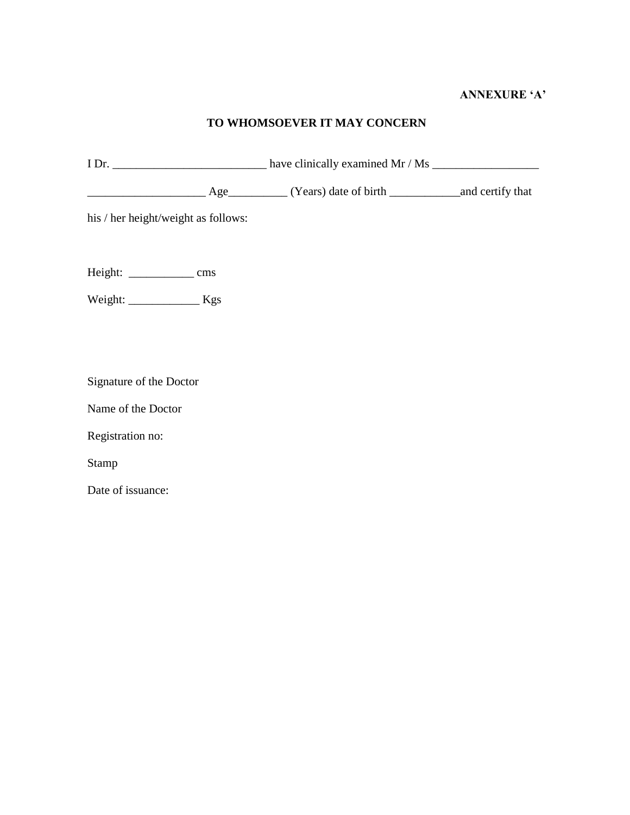#### **ANNEXURE 'A'**

#### **TO WHOMSOEVER IT MAY CONCERN**

I Dr. \_\_\_\_\_\_\_\_\_\_\_\_\_\_\_\_\_\_\_\_\_\_\_\_\_\_ have clinically examined Mr / Ms \_\_\_\_\_\_\_\_\_\_\_\_\_\_\_\_\_\_ \_\_\_\_\_\_\_\_\_\_\_\_\_\_\_\_\_\_\_\_ Age\_\_\_\_\_\_\_\_\_\_ (Years) date of birth \_\_\_\_\_\_\_\_\_\_\_\_and certify that his / her height/weight as follows: Height: \_\_\_\_\_\_\_\_\_\_\_ cms Weight: \_\_\_\_\_\_\_\_\_\_\_\_ Kgs

Signature of the Doctor

Name of the Doctor

Registration no:

Stamp

Date of issuance: